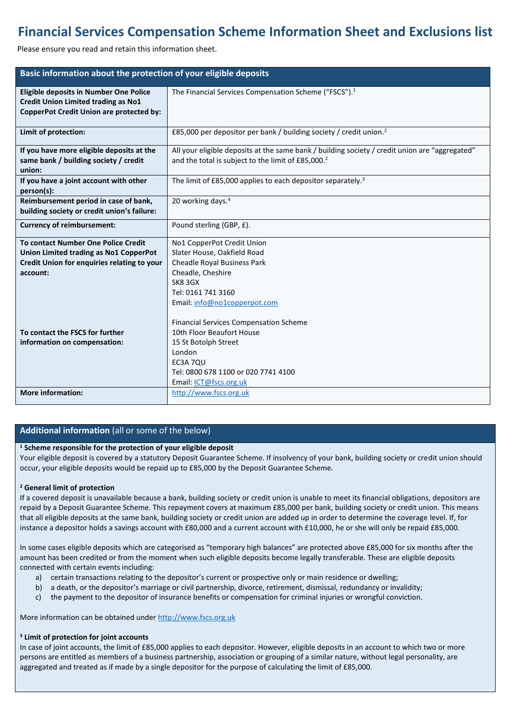# **Financial Services Compensation Scheme Information Sheet and Exclusions list**

Please ensure you read and retain this information sheet.

| Basic information about the protection of your eligible deposits                                                                                       |                                                                                                                                                                                                                                        |
|--------------------------------------------------------------------------------------------------------------------------------------------------------|----------------------------------------------------------------------------------------------------------------------------------------------------------------------------------------------------------------------------------------|
| Eligible deposits in Number One Police<br><b>Credit Union Limited trading as No1</b><br>CopperPot Credit Union are protected by:                       | The Financial Services Compensation Scheme ("FSCS"). <sup>1</sup>                                                                                                                                                                      |
| Limit of protection:                                                                                                                                   | £85,000 per depositor per bank / building society / credit union. <sup>2</sup>                                                                                                                                                         |
| If you have more eligible deposits at the<br>same bank / building society / credit<br>union:                                                           | All your eligible deposits at the same bank / building society / credit union are "aggregated"<br>and the total is subject to the limit of £85,000. <sup>2</sup>                                                                       |
| If you have a joint account with other<br>person(s):                                                                                                   | The limit of $£85,000$ applies to each depositor separately. <sup>3</sup>                                                                                                                                                              |
| Reimbursement period in case of bank,<br>building society or credit union's failure:                                                                   | 20 working days. <sup>4</sup>                                                                                                                                                                                                          |
| <b>Currency of reimbursement:</b>                                                                                                                      | Pound sterling (GBP, £).                                                                                                                                                                                                               |
| <b>To contact Number One Police Credit</b><br>Union Limited trading as No1 CopperPot<br><b>Credit Union for enquiries relating to your</b><br>account: | No1 CopperPot Credit Union<br>Slater House, Oakfield Road<br><b>Cheadle Royal Business Park</b><br>Cheadle, Cheshire<br>SK8 3GX<br>Tel: 0161 741 3160<br>Email: info@no1copperpot.com<br><b>Financial Services Compensation Scheme</b> |
| To contact the FSCS for further<br>information on compensation:                                                                                        | 10th Floor Beaufort House<br>15 St Botolph Street<br>London<br>EC3A 7QU<br>Tel: 0800 678 1100 or 020 7741 4100<br>Email: ICT@fscs.org.uk                                                                                               |
| <b>More information:</b>                                                                                                                               | http://www.fscs.org.uk                                                                                                                                                                                                                 |

## **Additional information** (all or some of the below)

### **<sup>1</sup> Scheme responsible for the protection of your eligible deposit**

Your eligible deposit is covered by a statutory Deposit Guarantee Scheme. If insolvency of your bank, building society or credit union should occur, your eligible deposits would be repaid up to £85,000 by the Deposit Guarantee Scheme.

#### **<sup>2</sup> General limit of protection**

If a covered deposit is unavailable because a bank, building society or credit union is unable to meet its financial obligations, depositors are repaid by a Deposit Guarantee Scheme. This repayment covers at maximum £85,000 per bank, building society or credit union. This means that all eligible deposits at the same bank, building society or credit union are added up in order to determine the coverage level. If, for instance a depositor holds a savings account with £80,000 and a current account with £10,000, he or she will only be repaid £85,000.

In some cases eligible deposits which are categorised as "temporary high balances" are protected above £85,000 for six months after the amount has been credited or from the moment when such eligible deposits become legally transferable. These are eligible deposits connected with certain events including:

- a) certain transactions relating to the depositor's current or prospective only or main residence or dwelling;
- b) a death, or the depositor's marriage or civil partnership, divorce, retirement, dismissal, redundancy or invalidity;
- c) the payment to the depositor of insurance benefits or compensation for criminal injuries or wrongful conviction.

More information can be obtained under [http://www.fscs.org.uk](http://www.fscs.org.uk/)

#### **<sup>3</sup> Limit of protection for joint accounts**

In case of joint accounts, the limit of £85,000 applies to each depositor. However, eligible deposits in an account to which two or more persons are entitled as members of a business partnership, association or grouping of a similar nature, without legal personality, are aggregated and treated as if made by a single depositor for the purpose of calculating the limit of £85,000.